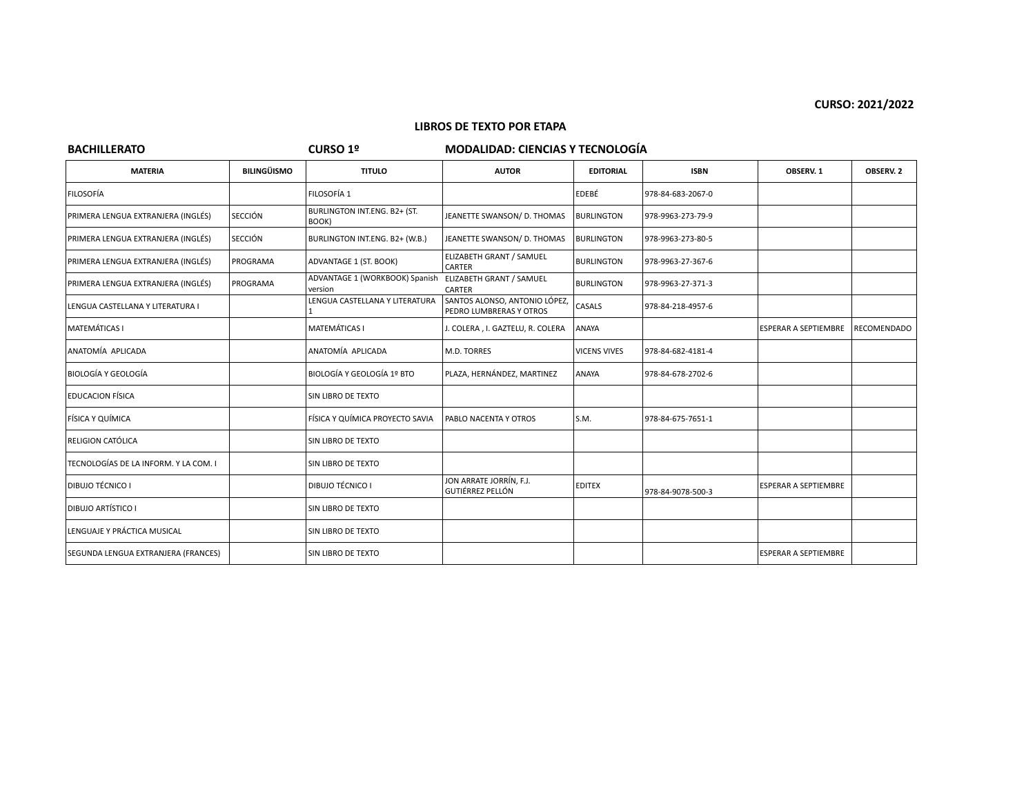### **LIBROS DE TEXTO POR ETAPA**

# **BACHILLERATO CURSO 1º MODALIDAD: CIENCIAS Y TECNOLOGÍA**

| <b>MATERIA</b>                        | <b>BILINGÜISMO</b> | <b>TITULO</b>                                                      | <b>AUTOR</b>                                            | <b>EDITORIAL</b>    | <b>ISBN</b>       | OBSERV. 1                   | OBSERV. 2          |
|---------------------------------------|--------------------|--------------------------------------------------------------------|---------------------------------------------------------|---------------------|-------------------|-----------------------------|--------------------|
| <b>FILOSOFÍA</b>                      |                    | FILOSOFÍA 1                                                        |                                                         | EDEBÉ               | 978-84-683-2067-0 |                             |                    |
| PRIMERA LENGUA EXTRANJERA (INGLÉS)    | <b>SECCIÓN</b>     | BURLINGTON INT.ENG. B2+ (ST.<br>BOOK)                              | JEANETTE SWANSON/ D. THOMAS                             | <b>BURLINGTON</b>   | 978-9963-273-79-9 |                             |                    |
| PRIMERA LENGUA EXTRANJERA (INGLÉS)    | <b>SECCIÓN</b>     | BURLINGTON INT.ENG. B2+ (W.B.)                                     | JEANETTE SWANSON/ D. THOMAS                             | <b>BURLINGTON</b>   | 978-9963-273-80-5 |                             |                    |
| PRIMERA LENGUA EXTRANJERA (INGLÉS)    | PROGRAMA           | ADVANTAGE 1 (ST. BOOK)                                             | ELIZABETH GRANT / SAMUEL<br>CARTER                      | <b>BURLINGTON</b>   | 978-9963-27-367-6 |                             |                    |
| PRIMERA LENGUA EXTRANJERA (INGLÉS)    | PROGRAMA           | ADVANTAGE 1 (WORKBOOK) Spanish ELIZABETH GRANT / SAMUEL<br>version | CARTER                                                  | <b>BURLINGTON</b>   | 978-9963-27-371-3 |                             |                    |
| LENGUA CASTELLANA Y LITERATURA I      |                    | LENGUA CASTELLANA Y LITERATURA                                     | SANTOS ALONSO, ANTONIO LÓPEZ<br>PEDRO LUMBRERAS Y OTROS | CASALS              | 978-84-218-4957-6 |                             |                    |
| <b>MATEMÁTICAS I</b>                  |                    | <b>MATEMÁTICAS I</b>                                               | J. COLERA, I. GAZTELU, R. COLERA                        | ANAYA               |                   | <b>ESPERAR A SEPTIEMBRE</b> | <b>RECOMENDADO</b> |
| ANATOMÍA APLICADA                     |                    | ANATOMÍA APLICADA                                                  | M.D. TORRES                                             | <b>VICENS VIVES</b> | 978-84-682-4181-4 |                             |                    |
| BIOLOGÍA Y GEOLOGÍA                   |                    | BIOLOGÍA Y GEOLOGÍA 1º BTO                                         | PLAZA, HERNÁNDEZ, MARTINEZ                              | ANAYA               | 978-84-678-2702-6 |                             |                    |
| <b>EDUCACION FÍSICA</b>               |                    | SIN LIBRO DE TEXTO                                                 |                                                         |                     |                   |                             |                    |
| FÍSICA Y QUÍMICA                      |                    | FÍSICA Y QUÍMICA PROYECTO SAVIA                                    | PABLO NACENTA Y OTROS                                   | S.M.                | 978-84-675-7651-1 |                             |                    |
| RELIGION CATÓLICA                     |                    | SIN LIBRO DE TEXTO                                                 |                                                         |                     |                   |                             |                    |
| TECNOLOGÍAS DE LA INFORM. Y LA COM. I |                    | SIN LIBRO DE TEXTO                                                 |                                                         |                     |                   |                             |                    |
| <b>DIBUJO TÉCNICO I</b>               |                    | DIBUJO TÉCNICO I                                                   | JON ARRATE JORRÍN, F.J.<br>GUTIÉRREZ PELLÓN             | <b>EDITEX</b>       | 978-84-9078-500-3 | <b>ESPERAR A SEPTIEMBRE</b> |                    |
| <b>DIBUJO ARTÍSTICO I</b>             |                    | SIN LIBRO DE TEXTO                                                 |                                                         |                     |                   |                             |                    |
| LENGUAJE Y PRÁCTICA MUSICAL           |                    | SIN LIBRO DE TEXTO                                                 |                                                         |                     |                   |                             |                    |
| SEGUNDA LENGUA EXTRANJERA (FRANCES)   |                    | SIN LIBRO DE TEXTO                                                 |                                                         |                     |                   | <b>ESPERAR A SEPTIEMBRE</b> |                    |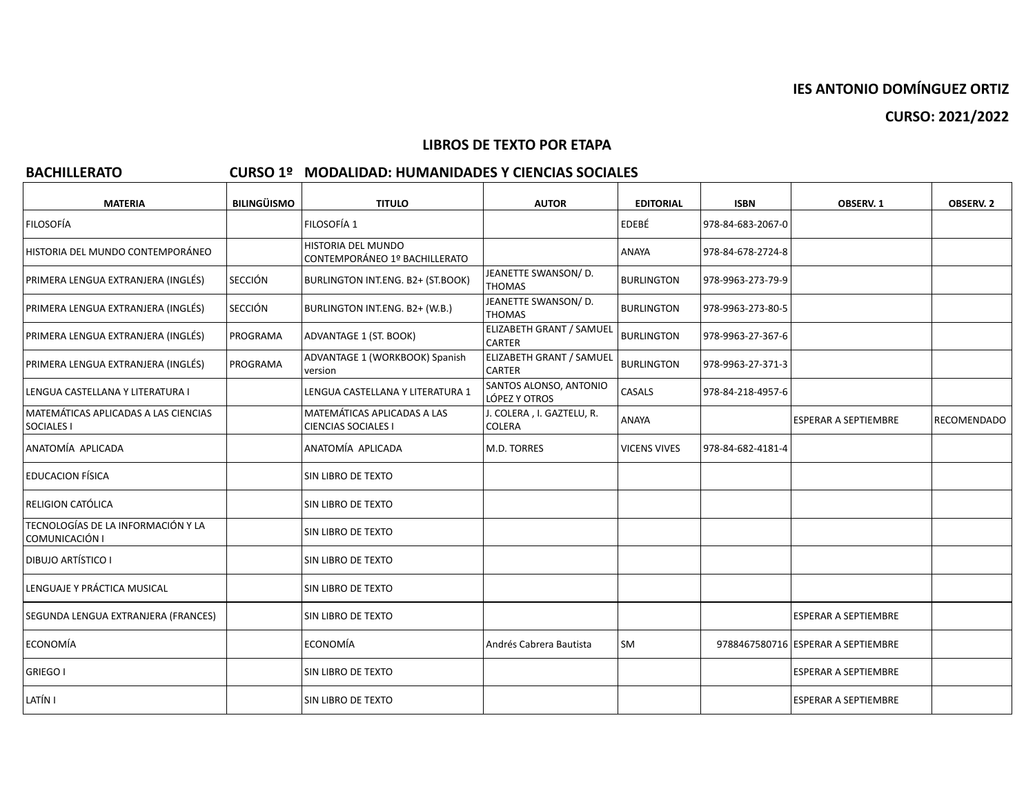**CURSO: 2021/2022**

# **LIBROS DE TEXTO POR ETAPA**

# **BACHILLERATO CURSO 1º MODALIDAD: HUMANIDADES Y CIENCIAS SOCIALES**

| <b>MATERIA</b>                                            | <b>BILINGÜISMO</b> | <b>TITULO</b>                                             | <b>AUTOR</b>                              | <b>EDITORIAL</b>    | <b>ISBN</b>       | OBSERV. 1                          | <b>OBSERV. 2</b>   |
|-----------------------------------------------------------|--------------------|-----------------------------------------------------------|-------------------------------------------|---------------------|-------------------|------------------------------------|--------------------|
| <b>FILOSOFÍA</b>                                          |                    | FILOSOFÍA 1                                               |                                           | <b>EDEBÉ</b>        | 978-84-683-2067-0 |                                    |                    |
| HISTORIA DEL MUNDO CONTEMPORÁNEO                          |                    | HISTORIA DEL MUNDO<br>CONTEMPORÁNEO 1º BACHILLERATO       |                                           | <b>ANAYA</b>        | 978-84-678-2724-8 |                                    |                    |
| PRIMERA LENGUA EXTRANJERA (INGLÉS)                        | <b>SECCIÓN</b>     | BURLINGTON INT.ENG. B2+ (ST.BOOK)                         | JEANETTE SWANSON/D.<br><b>THOMAS</b>      | <b>BURLINGTON</b>   | 978-9963-273-79-9 |                                    |                    |
| PRIMERA LENGUA EXTRANJERA (INGLÉS)                        | <b>SECCIÓN</b>     | BURLINGTON INT.ENG. B2+ (W.B.)                            | JEANETTE SWANSON/ D.<br><b>THOMAS</b>     | <b>BURLINGTON</b>   | 978-9963-273-80-5 |                                    |                    |
| PRIMERA LENGUA EXTRANJERA (INGLÉS)                        | PROGRAMA           | ADVANTAGE 1 (ST. BOOK)                                    | ELIZABETH GRANT / SAMUEL<br><b>CARTER</b> | <b>BURLINGTON</b>   | 978-9963-27-367-6 |                                    |                    |
| PRIMERA LENGUA EXTRANJERA (INGLÉS)                        | PROGRAMA           | ADVANTAGE 1 (WORKBOOK) Spanish<br>version                 | ELIZABETH GRANT / SAMUEL<br><b>CARTER</b> | <b>BURLINGTON</b>   | 978-9963-27-371-3 |                                    |                    |
| LENGUA CASTELLANA Y LITERATURA I                          |                    | LENGUA CASTELLANA Y LITERATURA 1                          | SANTOS ALONSO, ANTONIO<br>LÓPEZ Y OTROS   | CASALS              | 978-84-218-4957-6 |                                    |                    |
| MATEMÁTICAS APLICADAS A LAS CIENCIAS<br><b>SOCIALES I</b> |                    | MATEMÁTICAS APLICADAS A LAS<br><b>CIENCIAS SOCIALES I</b> | J. COLERA, I. GAZTELU, R.<br>COLERA       | ANAYA               |                   | <b>ESPERAR A SEPTIEMBRE</b>        | <b>RECOMENDADO</b> |
| ANATOMÍA APLICADA                                         |                    | ANATOMÍA APLICADA                                         | M.D. TORRES                               | <b>VICENS VIVES</b> | 978-84-682-4181-4 |                                    |                    |
| <b>EDUCACION FÍSICA</b>                                   |                    | <b>SIN LIBRO DE TEXTO</b>                                 |                                           |                     |                   |                                    |                    |
| RELIGION CATÓLICA                                         |                    | <b>SIN LIBRO DE TEXTO</b>                                 |                                           |                     |                   |                                    |                    |
| TECNOLOGÍAS DE LA INFORMACIÓN Y LA<br>COMUNICACIÓN I      |                    | SIN LIBRO DE TEXTO                                        |                                           |                     |                   |                                    |                    |
| <b>DIBUJO ARTÍSTICO I</b>                                 |                    | SIN LIBRO DE TEXTO                                        |                                           |                     |                   |                                    |                    |
| LENGUAJE Y PRÁCTICA MUSICAL                               |                    | SIN LIBRO DE TEXTO                                        |                                           |                     |                   |                                    |                    |
| SEGUNDA LENGUA EXTRANJERA (FRANCES)                       |                    | SIN LIBRO DE TEXTO                                        |                                           |                     |                   | <b>ESPERAR A SEPTIEMBRE</b>        |                    |
| ECONOMÍA                                                  |                    | ECONOMÍA                                                  | Andrés Cabrera Bautista                   | lsm                 |                   | 9788467580716 ESPERAR A SEPTIEMBRE |                    |
| <b>GRIEGO I</b>                                           |                    | SIN LIBRO DE TEXTO                                        |                                           |                     |                   | <b>ESPERAR A SEPTIEMBRE</b>        |                    |
| LATÍN I                                                   |                    | SIN LIBRO DE TEXTO                                        |                                           |                     |                   | <b>ESPERAR A SEPTIEMBRE</b>        |                    |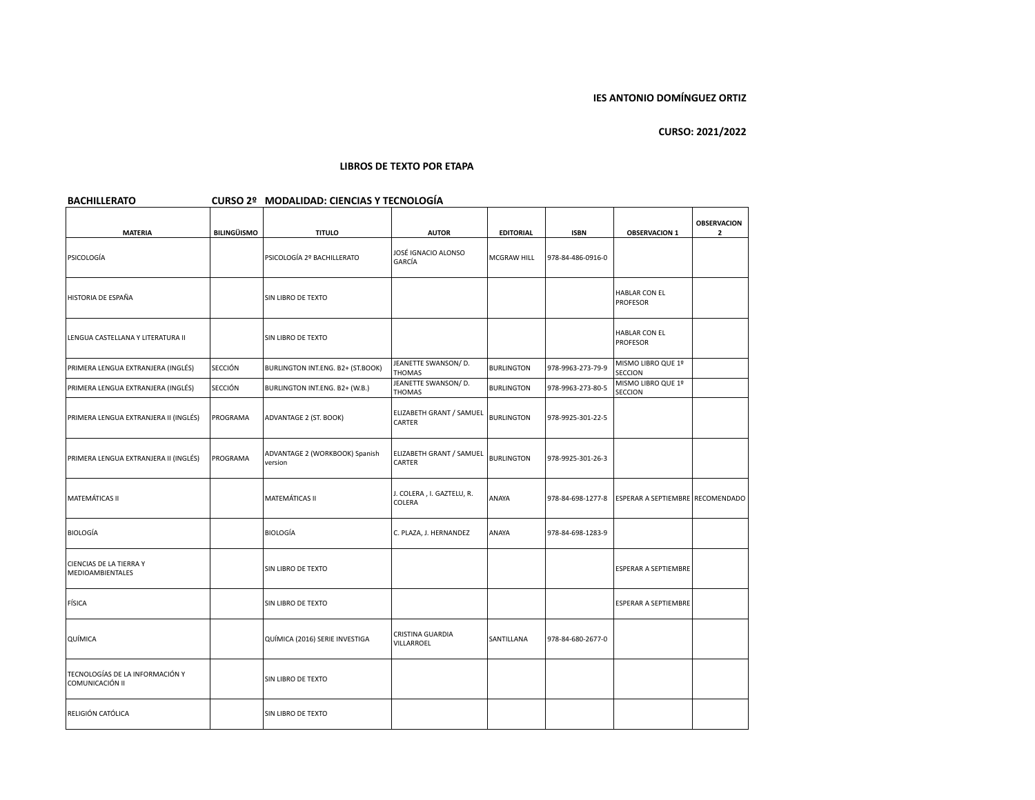| <b>BACHILLERATO</b>                                |                    | CURSO 2º MODALIDAD: CIENCIAS Y TECNOLOGÍA |                                     |                   |                   |                                         |                                    |
|----------------------------------------------------|--------------------|-------------------------------------------|-------------------------------------|-------------------|-------------------|-----------------------------------------|------------------------------------|
| <b>MATERIA</b>                                     | <b>BILINGÜISMO</b> | <b>TITULO</b>                             | <b>AUTOR</b>                        | <b>EDITORIAL</b>  | <b>ISBN</b>       | <b>OBSERVACION 1</b>                    | <b>OBSERVACION</b><br>$\mathbf{2}$ |
| PSICOLOGÍA                                         |                    | PSICOLOGÍA 2º BACHILLERATO                | JOSÉ IGNACIO ALONSO<br>GARCÍA       | MCGRAW HILL       | 978-84-486-0916-0 |                                         |                                    |
| HISTORIA DE ESPAÑA                                 |                    | SIN LIBRO DE TEXTO                        |                                     |                   |                   | <b>HABLAR CON EL</b><br>PROFESOR        |                                    |
| LENGUA CASTELLANA Y LITERATURA II                  |                    | SIN LIBRO DE TEXTO                        |                                     |                   |                   | <b>HABLAR CON EL</b><br><b>PROFESOR</b> |                                    |
| PRIMERA LENGUA EXTRANJERA (INGLÉS)                 | <b>SECCIÓN</b>     | BURLINGTON INT.ENG. B2+ (ST.BOOK)         | JEANETTE SWANSON/ D.<br>THOMAS      | <b>BURLINGTON</b> | 978-9963-273-79-9 | MISMO LIBRO QUE 1º<br>SECCION           |                                    |
| PRIMERA LENGUA EXTRANJERA (INGLÉS)                 | <b>SECCIÓN</b>     | BURLINGTON INT.ENG. B2+ (W.B.)            | JEANETTE SWANSON/ D.<br>THOMAS      | <b>BURLINGTON</b> | 978-9963-273-80-5 | MISMO LIBRO QUE 1º<br>SECCION           |                                    |
| PRIMERA LENGUA EXTRANJERA II (INGLÉS)              | PROGRAMA           | ADVANTAGE 2 (ST. BOOK)                    | ELIZABETH GRANT / SAMUEL<br>CARTER  | <b>BURLINGTON</b> | 978-9925-301-22-5 |                                         |                                    |
| PRIMERA LENGUA EXTRANJERA II (INGLÉS)              | PROGRAMA           | ADVANTAGE 2 (WORKBOOK) Spanish<br>version | ELIZABETH GRANT / SAMUEL<br>CARTER  | <b>BURLINGTON</b> | 978-9925-301-26-3 |                                         |                                    |
| MATEMÁTICAS II                                     |                    | MATEMÁTICAS II                            | J. COLERA, I. GAZTELU, R.<br>COLERA | ANAYA             | 978-84-698-1277-8 | ESPERAR A SEPTIEMBRE RECOMENDADO        |                                    |
| <b>BIOLOGÍA</b>                                    |                    | <b>BIOLOGÍA</b>                           | C. PLAZA, J. HERNANDEZ              | ANAYA             | 978-84-698-1283-9 |                                         |                                    |
| CIENCIAS DE LA TIERRA Y<br>MEDIOAMBIENTALES        |                    | SIN LIBRO DE TEXTO                        |                                     |                   |                   | ESPERAR A SEPTIEMBRE                    |                                    |
| FÍSICA                                             |                    | SIN LIBRO DE TEXTO                        |                                     |                   |                   | ESPERAR A SEPTIEMBRE                    |                                    |
| QUÍMICA                                            |                    | QUÍMICA (2016) SERIE INVESTIGA            | CRISTINA GUARDIA<br>VILLARROEL      | SANTILLANA        | 978-84-680-2677-0 |                                         |                                    |
| TECNOLOGÍAS DE LA INFORMACIÓN Y<br>COMUNICACIÓN II |                    | SIN LIBRO DE TEXTO                        |                                     |                   |                   |                                         |                                    |
| RELIGIÓN CATÓLICA                                  |                    | SIN LIBRO DE TEXTO                        |                                     |                   |                   |                                         |                                    |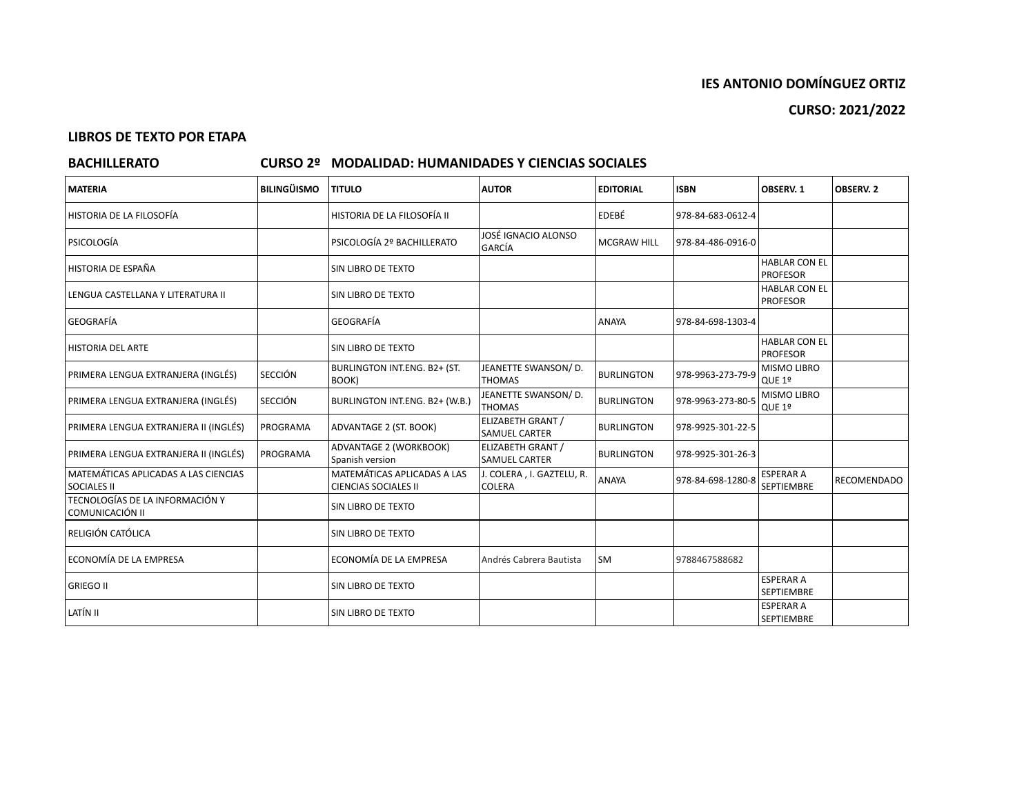# **LIBROS DE TEXTO POR ETAPA**

# **BACHILLERATO CURSO 2º MODALIDAD: HUMANIDADES Y CIENCIAS SOCIALES**

| <b>MATERIA</b>                                             | <b>BILINGÜISMO</b> | <b>TITULO</b>                                              | <b>AUTOR</b>                                     | <b>EDITORIAL</b>   | <b>ISBN</b>       | OBSERV. 1                               | <b>OBSERV. 2</b>   |
|------------------------------------------------------------|--------------------|------------------------------------------------------------|--------------------------------------------------|--------------------|-------------------|-----------------------------------------|--------------------|
| HISTORIA DE LA FILOSOFÍA                                   |                    | HISTORIA DE LA FILOSOFÍA II                                |                                                  | EDEBÉ              | 978-84-683-0612-4 |                                         |                    |
| l PSICOLOGÍA                                               |                    | PSICOLOGÍA 2º BACHILLERATO                                 | JOSÉ IGNACIO ALONSO<br><b>GARCÍA</b>             | <b>MCGRAW HILL</b> | 978-84-486-0916-0 |                                         |                    |
| HISTORIA DE ESPAÑA                                         |                    | SIN LIBRO DE TEXTO                                         |                                                  |                    |                   | <b>HABLAR CON EL</b><br><b>PROFESOR</b> |                    |
| LENGUA CASTELLANA Y LITERATURA II                          |                    | SIN LIBRO DE TEXTO                                         |                                                  |                    |                   | <b>HABLAR CON EL</b><br><b>PROFESOR</b> |                    |
| <b>GEOGRAFÍA</b>                                           |                    | GEOGRAFÍA                                                  |                                                  | <b>ANAYA</b>       | 978-84-698-1303-4 |                                         |                    |
| <b>HISTORIA DEL ARTE</b>                                   |                    | <b>SIN LIBRO DE TEXTO</b>                                  |                                                  |                    |                   | <b>HABLAR CON EL</b><br><b>PROFESOR</b> |                    |
| PRIMERA LENGUA EXTRANJERA (INGLÉS)                         | <b>SECCIÓN</b>     | BURLINGTON INT.ENG. B2+ (ST.<br>BOOK)                      | JEANETTE SWANSON/ D.<br><b>THOMAS</b>            | <b>BURLINGTON</b>  | 978-9963-273-79-9 | <b>MISMO LIBRO</b><br>QUE 1º            |                    |
| PRIMERA LENGUA EXTRANJERA (INGLÉS)                         | <b>SECCIÓN</b>     | BURLINGTON INT.ENG. B2+ (W.B.)                             | JEANETTE SWANSON/ D.<br><b>THOMAS</b>            | <b>BURLINGTON</b>  | 978-9963-273-80-5 | MISMO LIBRO<br>QUE 1º                   |                    |
| PRIMERA LENGUA EXTRANJERA II (INGLÉS)                      | PROGRAMA           | ADVANTAGE 2 (ST. BOOK)                                     | <b>ELIZABETH GRANT /</b><br><b>SAMUEL CARTER</b> | <b>BURLINGTON</b>  | 978-9925-301-22-5 |                                         |                    |
| PRIMERA LENGUA EXTRANJERA II (INGLÉS)                      | PROGRAMA           | ADVANTAGE 2 (WORKBOOK)<br>Spanish version                  | ELIZABETH GRANT /<br><b>SAMUEL CARTER</b>        | <b>BURLINGTON</b>  | 978-9925-301-26-3 |                                         |                    |
| MATEMÁTICAS APLICADAS A LAS CIENCIAS<br><b>SOCIALES II</b> |                    | MATEMÁTICAS APLICADAS A LAS<br><b>CIENCIAS SOCIALES II</b> | J. COLERA, I. GAZTELU, R.<br><b>COLERA</b>       | <b>ANAYA</b>       | 978-84-698-1280-8 | <b>ESPERAR A</b><br>SEPTIEMBRE          | <b>RECOMENDADO</b> |
| TECNOLOGÍAS DE LA INFORMACIÓN Y<br>COMUNICACIÓN II         |                    | SIN LIBRO DE TEXTO                                         |                                                  |                    |                   |                                         |                    |
| RELIGIÓN CATÓLICA                                          |                    | SIN LIBRO DE TEXTO                                         |                                                  |                    |                   |                                         |                    |
| ECONOMÍA DE LA EMPRESA                                     |                    | ECONOMÍA DE LA EMPRESA                                     | Andrés Cabrera Bautista                          | <b>SM</b>          | 9788467588682     |                                         |                    |
| <b>GRIEGO II</b>                                           |                    | <b>SIN LIBRO DE TEXTO</b>                                  |                                                  |                    |                   | <b>ESPERAR A</b><br><b>SEPTIEMBRE</b>   |                    |
| LATÍN II                                                   |                    | <b>SIN LIBRO DE TEXTO</b>                                  |                                                  |                    |                   | <b>ESPERAR A</b><br><b>SEPTIEMBRE</b>   |                    |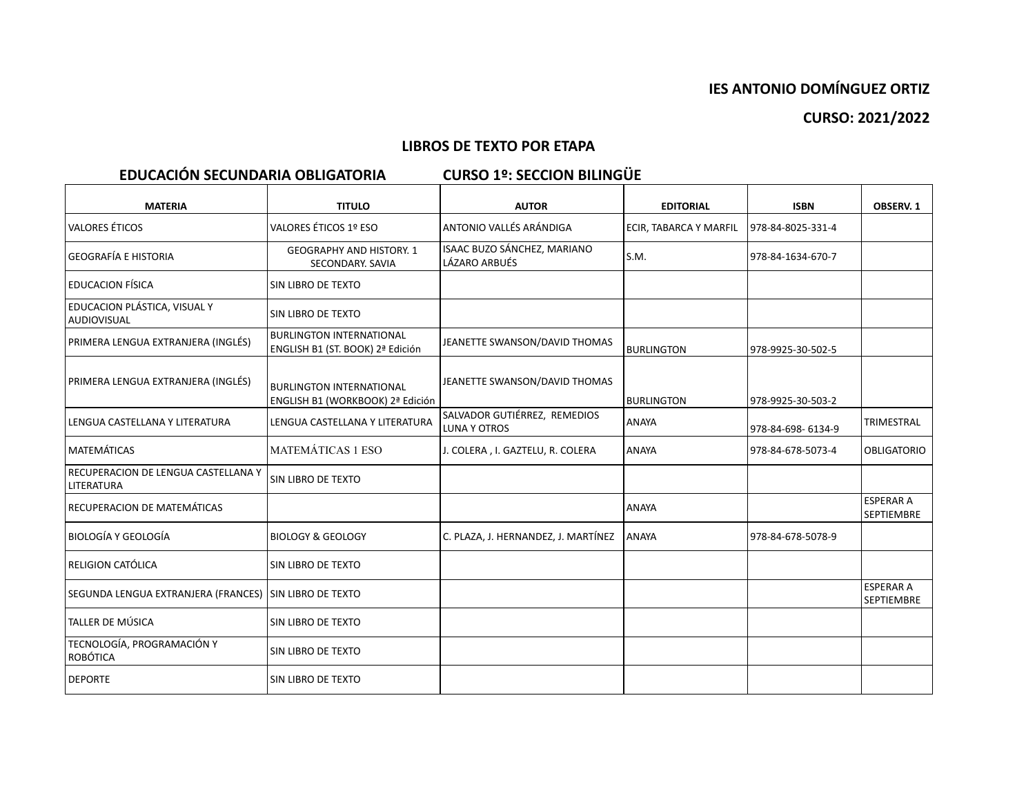# **CURSO: 2021/2022**

# **LIBROS DE TEXTO POR ETAPA**

# **EDUCACIÓN SECUNDARIA OBLIGATORIA CURSO 1º: SECCION BILINGÜE**

| <b>MATERIA</b>                                         | <b>TITULO</b>                                                       | <b>AUTOR</b>                                 | <b>EDITORIAL</b>       | <b>ISBN</b>       | OBSERV. 1                             |
|--------------------------------------------------------|---------------------------------------------------------------------|----------------------------------------------|------------------------|-------------------|---------------------------------------|
| <b>VALORES ÉTICOS</b>                                  | VALORES ÉTICOS 1º ESO                                               | ANTONIO VALLÉS ARÁNDIGA                      | ECIR, TABARCA Y MARFIL | 978-84-8025-331-4 |                                       |
| GEOGRAFÍA E HISTORIA                                   | <b>GEOGRAPHY AND HISTORY. 1</b><br>SECONDARY. SAVIA                 | ISAAC BUZO SÁNCHEZ, MARIANO<br>LÁZARO ARBUÉS | S.M.                   | 978-84-1634-670-7 |                                       |
| <b>EDUCACION FÍSICA</b>                                | SIN LIBRO DE TEXTO                                                  |                                              |                        |                   |                                       |
| EDUCACION PLÁSTICA, VISUAL Y<br>  AUDIOVISUAL          | SIN LIBRO DE TEXTO                                                  |                                              |                        |                   |                                       |
| PRIMERA LENGUA EXTRANJERA (INGLÉS)                     | <b>BURLINGTON INTERNATIONAL</b><br>ENGLISH B1 (ST. BOOK) 2ª Edición | JEANETTE SWANSON/DAVID THOMAS                | <b>BURLINGTON</b>      | 978-9925-30-502-5 |                                       |
| PRIMERA LENGUA EXTRANJERA (INGLÉS)                     | <b>BURLINGTON INTERNATIONAL</b><br>ENGLISH B1 (WORKBOOK) 2ª Edición | JEANETTE SWANSON/DAVID THOMAS                | <b>BURLINGTON</b>      | 978-9925-30-503-2 |                                       |
| LENGUA CASTELLANA Y LITERATURA                         | LENGUA CASTELLANA Y LITERATURA                                      | SALVADOR GUTIÉRREZ, REMEDIOS<br>LUNA Y OTROS | <b>ANAYA</b>           | 978-84-698-6134-9 | TRIMESTRAL                            |
| <b>MATEMÁTICAS</b>                                     | <b>MATEMÁTICAS 1 ESO</b>                                            | J. COLERA, I. GAZTELU, R. COLERA             | <b>ANAYA</b>           | 978-84-678-5073-4 | <b>OBLIGATORIO</b>                    |
| RECUPERACION DE LENGUA CASTELLANA Y<br>LITERATURA      | SIN LIBRO DE TEXTO                                                  |                                              |                        |                   |                                       |
| RECUPERACION DE MATEMÁTICAS                            |                                                                     |                                              | ANAYA                  |                   | <b>ESPERAR A</b><br><b>SEPTIEMBRE</b> |
| BIOLOGÍA Y GEOLOGÍA                                    | <b>BIOLOGY &amp; GEOLOGY</b>                                        | C. PLAZA, J. HERNANDEZ, J. MARTÍNEZ          | ANAYA                  | 978-84-678-5078-9 |                                       |
| RELIGION CATÓLICA                                      | SIN LIBRO DE TEXTO                                                  |                                              |                        |                   |                                       |
| SEGUNDA LENGUA EXTRANJERA (FRANCES) SIN LIBRO DE TEXTO |                                                                     |                                              |                        |                   | <b>ESPERAR A</b><br><b>SEPTIEMBRE</b> |
| TALLER DE MÚSICA                                       | <b>SIN LIBRO DE TEXTO</b>                                           |                                              |                        |                   |                                       |
| TECNOLOGÍA, PROGRAMACIÓN Y<br>  ROBÓTICA               | SIN LIBRO DE TEXTO                                                  |                                              |                        |                   |                                       |
| <b>DEPORTE</b>                                         | SIN LIBRO DE TEXTO                                                  |                                              |                        |                   |                                       |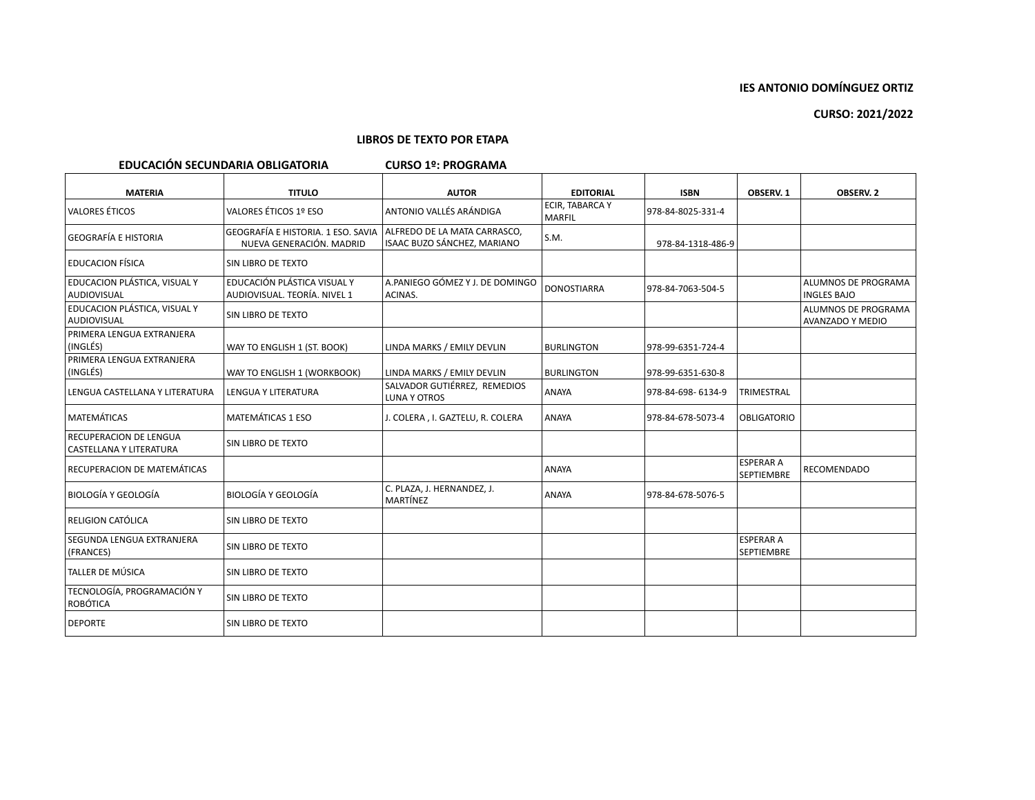### **LIBROS DE TEXTO POR ETAPA**

## **EDUCACIÓN SECUNDARIA OBLIGATORIA CURSO 1º: PROGRAMA**

| <b>MATERIA</b>                                     | <b>TITULO</b>                                                  | <b>AUTOR</b>                                                | <b>EDITORIAL</b>                 | <b>ISBN</b>       | OBSERV. 1                             | <b>OBSERV. 2</b>                                 |
|----------------------------------------------------|----------------------------------------------------------------|-------------------------------------------------------------|----------------------------------|-------------------|---------------------------------------|--------------------------------------------------|
| VALORES ÉTICOS                                     | VALORES ÉTICOS 1º ESO                                          | ANTONIO VALLÉS ARÁNDIGA                                     | ECIR, TABARCA Y<br><b>MARFIL</b> | 978-84-8025-331-4 |                                       |                                                  |
| <b>GEOGRAFÍA E HISTORIA</b>                        | GEOGRAFÍA E HISTORIA. 1 ESO. SAVIA<br>NUEVA GENERACIÓN, MADRID | ALFREDO DE LA MATA CARRASCO,<br>ISAAC BUZO SÁNCHEZ, MARIANO | S.M.                             | 978-84-1318-486-9 |                                       |                                                  |
| <b>EDUCACION FÍSICA</b>                            | SIN LIBRO DE TEXTO                                             |                                                             |                                  |                   |                                       |                                                  |
| EDUCACION PLÁSTICA, VISUAL Y<br>AUDIOVISUAL        | EDUCACIÓN PLÁSTICA VISUAL Y<br>AUDIOVISUAL. TEORÍA. NIVEL 1    | A.PANIEGO GÓMEZ Y J. DE DOMINGO<br>ACINAS.                  | <b>DONOSTIARRA</b>               | 978-84-7063-504-5 |                                       | <b>ALUMNOS DE PROGRAMA</b><br><b>INGLES BAJO</b> |
| EDUCACION PLÁSTICA, VISUAL Y<br>AUDIOVISUAL        | SIN LIBRO DE TEXTO                                             |                                                             |                                  |                   |                                       | ALUMNOS DE PROGRAMA<br><b>AVANZADO Y MEDIO</b>   |
| PRIMERA LENGUA EXTRANJERA<br>(INGLÉS)              | WAY TO ENGLISH 1 (ST. BOOK)                                    | LINDA MARKS / EMILY DEVLIN                                  | <b>BURLINGTON</b>                | 978-99-6351-724-4 |                                       |                                                  |
| PRIMERA LENGUA EXTRANJERA<br>(INGLÉS)              | WAY TO ENGLISH 1 (WORKBOOK)                                    | LINDA MARKS / EMILY DEVLIN                                  | <b>BURLINGTON</b>                | 978-99-6351-630-8 |                                       |                                                  |
| LENGUA CASTELLANA Y LITERATURA                     | <b>LENGUA Y LITERATURA</b>                                     | SALVADOR GUTIÉRREZ, REMEDIOS<br><b>LUNA Y OTROS</b>         | <b>ANAYA</b>                     | 978-84-698-6134-9 | TRIMESTRAL                            |                                                  |
| <b>MATEMÁTICAS</b>                                 | <b>MATEMÁTICAS 1 ESO</b>                                       | J. COLERA, I. GAZTELU, R. COLERA                            | ANAYA                            | 978-84-678-5073-4 | <b>OBLIGATORIO</b>                    |                                                  |
| RECUPERACION DE LENGUA<br> CASTELLANA Y LITERATURA | <b>SIN LIBRO DE TEXTO</b>                                      |                                                             |                                  |                   |                                       |                                                  |
| RECUPERACION DE MATEMÁTICAS                        |                                                                |                                                             | <b>ANAYA</b>                     |                   | <b>ESPERAR A</b><br>SEPTIEMBRE        | <b>RECOMENDADO</b>                               |
| BIOLOGÍA Y GEOLOGÍA                                | <b>BIOLOGÍA Y GEOLOGÍA</b>                                     | C. PLAZA, J. HERNANDEZ, J.<br>MARTÍNEZ                      | <b>ANAYA</b>                     | 978-84-678-5076-5 |                                       |                                                  |
| RELIGION CATÓLICA                                  | <b>SIN LIBRO DE TEXTO</b>                                      |                                                             |                                  |                   |                                       |                                                  |
| SEGUNDA LENGUA EXTRANJERA<br>(FRANCES)             | <b>SIN LIBRO DE TEXTO</b>                                      |                                                             |                                  |                   | <b>ESPERAR A</b><br><b>SEPTIEMBRE</b> |                                                  |
| TALLER DE MÚSICA                                   | SIN LIBRO DE TEXTO                                             |                                                             |                                  |                   |                                       |                                                  |
| TECNOLOGÍA, PROGRAMACIÓN Y<br>ROBÓTICA             | <b>SIN LIBRO DE TEXTO</b>                                      |                                                             |                                  |                   |                                       |                                                  |
| <b>DEPORTE</b>                                     | <b>SIN LIBRO DE TEXTO</b>                                      |                                                             |                                  |                   |                                       |                                                  |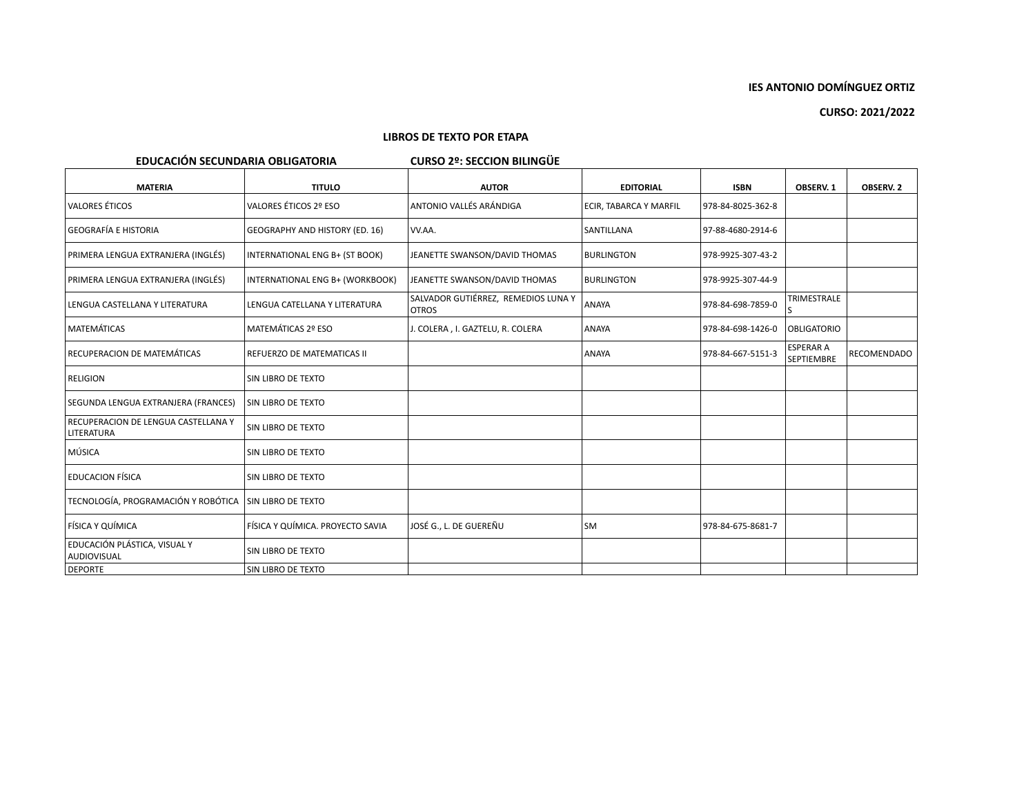**CURSO: 2021/2022**

### **LIBROS DE TEXTO POR ETAPA**

# **EDUCACIÓN SECUNDARIA OBLIGATORIA CURSO 2º: SECCION BILINGÜE**

| <b>MATERIA</b>                                     | <b>TITULO</b>                    | <b>AUTOR</b>                                        | <b>EDITORIAL</b>       | <b>ISBN</b>       | OBSERV. 1                             | OBSERV. 2   |
|----------------------------------------------------|----------------------------------|-----------------------------------------------------|------------------------|-------------------|---------------------------------------|-------------|
| <b>VALORES ÉTICOS</b>                              | VALORES ÉTICOS 2º ESO            | ANTONIO VALLÉS ARÁNDIGA                             | ECIR, TABARCA Y MARFIL | 978-84-8025-362-8 |                                       |             |
| <b>GEOGRAFÍA E HISTORIA</b>                        | GEOGRAPHY AND HISTORY (ED. 16)   | VV.AA.                                              | SANTILLANA             | 97-88-4680-2914-6 |                                       |             |
| PRIMERA LENGUA EXTRANJERA (INGLÉS)                 | INTERNATIONAL ENG B+ (ST BOOK)   | JEANETTE SWANSON/DAVID THOMAS                       | <b>BURLINGTON</b>      | 978-9925-307-43-2 |                                       |             |
| PRIMERA LENGUA EXTRANJERA (INGLÉS)                 | INTERNATIONAL ENG B+ (WORKBOOK)  | JEANETTE SWANSON/DAVID THOMAS                       | <b>BURLINGTON</b>      | 978-9925-307-44-9 |                                       |             |
| LENGUA CASTELLANA Y LITERATURA                     | LENGUA CATELLANA Y LITERATURA    | SALVADOR GUTIÉRREZ, REMEDIOS LUNA Y<br><b>OTROS</b> | <b>ANAYA</b>           | 978-84-698-7859-0 | TRIMESTRALE                           |             |
| <b>MATEMÁTICAS</b>                                 | MATEMÁTICAS 2º ESO               | J. COLERA, I. GAZTELU, R. COLERA                    | <b>ANAYA</b>           | 978-84-698-1426-0 | <b>OBLIGATORIO</b>                    |             |
| RECUPERACION DE MATEMÁTICAS                        | REFUERZO DE MATEMATICAS II       |                                                     | ANAYA                  | 978-84-667-5151-3 | <b>ESPERAR A</b><br><b>SEPTIEMBRE</b> | RECOMENDADO |
| <b>RELIGION</b>                                    | ISIN LIBRO DE TEXTO              |                                                     |                        |                   |                                       |             |
| SEGUNDA LENGUA EXTRANJERA (FRANCES)                | <b>SIN LIBRO DE TEXTO</b>        |                                                     |                        |                   |                                       |             |
| RECUPERACION DE LENGUA CASTELLANA Y<br>LITERATURA  | <b>SIN LIBRO DE TEXTO</b>        |                                                     |                        |                   |                                       |             |
| MÚSICA                                             | SIN LIBRO DE TEXTO               |                                                     |                        |                   |                                       |             |
| <b>EDUCACION FÍSICA</b>                            | SIN LIBRO DE TEXTO               |                                                     |                        |                   |                                       |             |
| TECNOLOGÍA, PROGRAMACIÓN Y ROBÓTICA                | <b>SIN LIBRO DE TEXTO</b>        |                                                     |                        |                   |                                       |             |
| FÍSICA Y QUÍMICA                                   | FÍSICA Y QUÍMICA. PROYECTO SAVIA | JOSÉ G., L. DE GUEREÑU                              | SM                     | 978-84-675-8681-7 |                                       |             |
| EDUCACIÓN PLÁSTICA, VISUAL Y<br><b>AUDIOVISUAL</b> | SIN LIBRO DE TEXTO               |                                                     |                        |                   |                                       |             |
| <b>DEPORTE</b>                                     | <b>SIN LIBRO DE TEXTO</b>        |                                                     |                        |                   |                                       |             |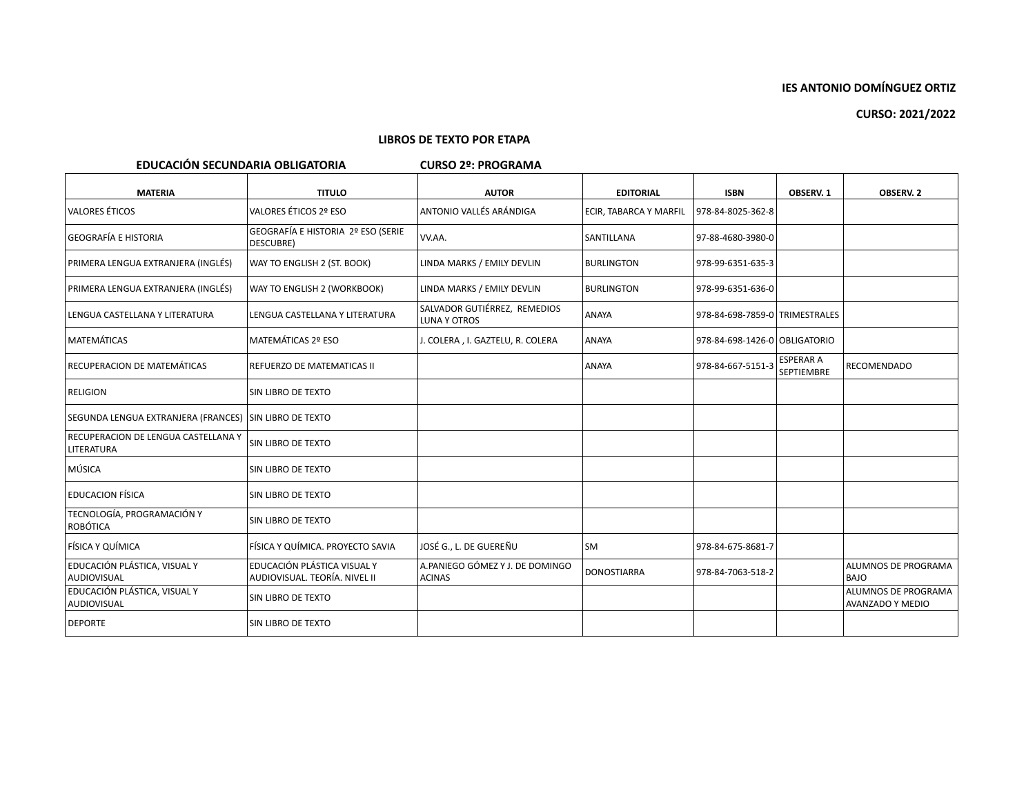**CURSO: 2021/2022**

### **LIBROS DE TEXTO POR ETAPA**

**EDUCACIÓN SECUNDARIA OBLIGATORIA CURSO 2º: PROGRAMA**

| <b>MATERIA</b>                                           | <b>TITULO</b>                                                | <b>AUTOR</b>                                     | <b>EDITORIAL</b>       | <b>ISBN</b>                    | OBSERV. 1                      | <b>OBSERV. 2</b>                               |
|----------------------------------------------------------|--------------------------------------------------------------|--------------------------------------------------|------------------------|--------------------------------|--------------------------------|------------------------------------------------|
| VALORES ÉTICOS                                           | VALORES ÉTICOS 2º ESO                                        | ANTONIO VALLÉS ARÁNDIGA                          | ECIR, TABARCA Y MARFIL | 978-84-8025-362-8              |                                |                                                |
| <b>GEOGRAFÍA E HISTORIA</b>                              | GEOGRAFÍA E HISTORIA 2º ESO (SERIE<br>DESCUBRE)              | VV.AA.                                           | <b>SANTILLANA</b>      | 97-88-4680-3980-0              |                                |                                                |
| PRIMERA LENGUA EXTRANJERA (INGLÉS)                       | WAY TO ENGLISH 2 (ST. BOOK)                                  | LINDA MARKS / EMILY DEVLIN                       | <b>BURLINGTON</b>      | 978-99-6351-635-3              |                                |                                                |
| PRIMERA LENGUA EXTRANJERA (INGLÉS)                       | WAY TO ENGLISH 2 (WORKBOOK)                                  | LINDA MARKS / EMILY DEVLIN                       | <b>BURLINGTON</b>      | 978-99-6351-636-0              |                                |                                                |
| LENGUA CASTELLANA Y LITERATURA                           | LENGUA CASTELLANA Y LITERATURA                               | SALVADOR GUTIÉRREZ, REMEDIOS<br>LUNA Y OTROS     | ANAYA                  | 978-84-698-7859-0 TRIMESTRALES |                                |                                                |
| MATEMÁTICAS                                              | MATEMÁTICAS 2º ESO                                           | J. COLERA , I. GAZTELU, R. COLERA                | ANAYA                  | 978-84-698-1426-0 OBLIGATORIO  |                                |                                                |
| RECUPERACION DE MATEMÁTICAS                              | REFUERZO DE MATEMATICAS II                                   |                                                  | <b>ANAYA</b>           | 978-84-667-5151-3              | <b>ESPERAR A</b><br>SEPTIEMBRE | RECOMENDADO                                    |
| <b>RELIGION</b>                                          | SIN LIBRO DE TEXTO                                           |                                                  |                        |                                |                                |                                                |
| SEGUNDA LENGUA EXTRANJERA (FRANCES) SIN LIBRO DE TEXTO   |                                                              |                                                  |                        |                                |                                |                                                |
| RECUPERACION DE LENGUA CASTELLANA Y<br><b>LITERATURA</b> | SIN LIBRO DE TEXTO                                           |                                                  |                        |                                |                                |                                                |
| MÚSICA                                                   | SIN LIBRO DE TEXTO                                           |                                                  |                        |                                |                                |                                                |
| <b>EDUCACION FÍSICA</b>                                  | SIN LIBRO DE TEXTO                                           |                                                  |                        |                                |                                |                                                |
| TECNOLOGÍA, PROGRAMACIÓN Y<br>ROBÓTICA                   | SIN LIBRO DE TEXTO                                           |                                                  |                        |                                |                                |                                                |
| FÍSICA Y QUÍMICA                                         | FÍSICA Y QUÍMICA. PROYECTO SAVIA                             | JOSÉ G L. DE GUEREÑU                             | <b>SM</b>              | 978-84-675-8681-7              |                                |                                                |
| EDUCACIÓN PLÁSTICA, VISUAL Y<br>AUDIOVISUAL              | EDUCACIÓN PLÁSTICA VISUAL Y<br>AUDIOVISUAL. TEORÍA. NIVEL II | A.PANIEGO GÓMEZ Y J. DE DOMINGO<br><b>ACINAS</b> | <b>DONOSTIARRA</b>     | 978-84-7063-518-2              |                                | ALUMNOS DE PROGRAMA<br><b>BAJO</b>             |
| EDUCACIÓN PLÁSTICA, VISUAL Y<br>AUDIOVISUAL              | SIN LIBRO DE TEXTO                                           |                                                  |                        |                                |                                | ALUMNOS DE PROGRAMA<br><b>AVANZADO Y MEDIO</b> |
| <b>DEPORTE</b>                                           | <b>SIN LIBRO DE TEXTO</b>                                    |                                                  |                        |                                |                                |                                                |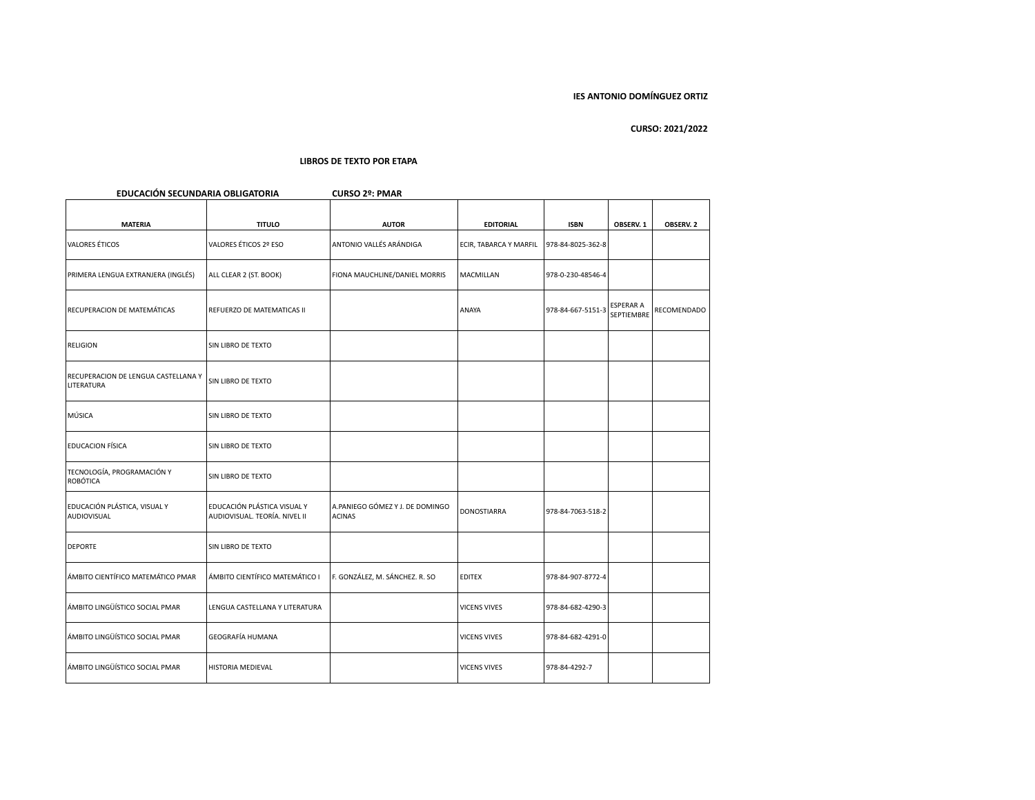| EDUCACIÓN SECUNDARIA OBLIGATORIA                  |                                                              | <b>CURSO 2º: PMAR</b>                            |                        |                   |                                |             |
|---------------------------------------------------|--------------------------------------------------------------|--------------------------------------------------|------------------------|-------------------|--------------------------------|-------------|
| <b>MATERIA</b>                                    | <b>TITULO</b>                                                | <b>AUTOR</b>                                     | <b>EDITORIAL</b>       | <b>ISBN</b>       | OBSERV. 1                      | OBSERV. 2   |
| <b>VALORES ÉTICOS</b>                             | VALORES ÉTICOS 2º ESO                                        | ANTONIO VALLÉS ARÁNDIGA                          | ECIR, TABARCA Y MARFIL | 978-84-8025-362-8 |                                |             |
| PRIMERA LENGUA EXTRANJERA (INGLÉS)                | ALL CLEAR 2 (ST. BOOK)                                       | FIONA MAUCHLINE/DANIEL MORRIS                    | MACMILLAN              | 978-0-230-48546-4 |                                |             |
| RECUPERACION DE MATEMÁTICAS                       | REFUERZO DE MATEMATICAS II                                   |                                                  | ANAYA                  | 978-84-667-5151-3 | <b>ESPERAR A</b><br>SEPTIEMBRE | RECOMENDADO |
| <b>RELIGION</b>                                   | SIN LIBRO DE TEXTO                                           |                                                  |                        |                   |                                |             |
| RECUPERACION DE LENGUA CASTELLANA Y<br>LITERATURA | SIN LIBRO DE TEXTO                                           |                                                  |                        |                   |                                |             |
| MÚSICA                                            | SIN LIBRO DE TEXTO                                           |                                                  |                        |                   |                                |             |
| <b>EDUCACION FÍSICA</b>                           | SIN LIBRO DE TEXTO                                           |                                                  |                        |                   |                                |             |
| TECNOLOGÍA, PROGRAMACIÓN Y<br>ROBÓTICA            | SIN LIBRO DE TEXTO                                           |                                                  |                        |                   |                                |             |
| EDUCACIÓN PLÁSTICA, VISUAL Y<br>AUDIOVISUAL       | EDUCACIÓN PLÁSTICA VISUAL Y<br>AUDIOVISUAL. TEORÍA. NIVEL II | A.PANIEGO GÓMEZ Y J. DE DOMINGO<br><b>ACINAS</b> | DONOSTIARRA            | 978-84-7063-518-2 |                                |             |
| <b>DEPORTE</b>                                    | SIN LIBRO DE TEXTO                                           |                                                  |                        |                   |                                |             |
| ÁMBITO CIENTÍFICO MATEMÁTICO PMAR                 | ÁMBITO CIENTÍFICO MATEMÁTICO I                               | F. GONZÁLEZ, M. SÁNCHEZ. R. SO                   | <b>EDITEX</b>          | 978-84-907-8772-4 |                                |             |
| ÁMBITO LINGÜÍSTICO SOCIAL PMAR                    | LENGUA CASTELLANA Y LITERATURA                               |                                                  | <b>VICENS VIVES</b>    | 978-84-682-4290-3 |                                |             |
| ÁMBITO LINGÜÍSTICO SOCIAL PMAR                    | GEOGRAFÍA HUMANA                                             |                                                  | VICENS VIVES           | 978-84-682-4291-0 |                                |             |
| ÁMBITO LINGÜÍSTICO SOCIAL PMAR                    | HISTORIA MEDIEVAL                                            |                                                  | <b>VICENS VIVES</b>    | 978-84-4292-7     |                                |             |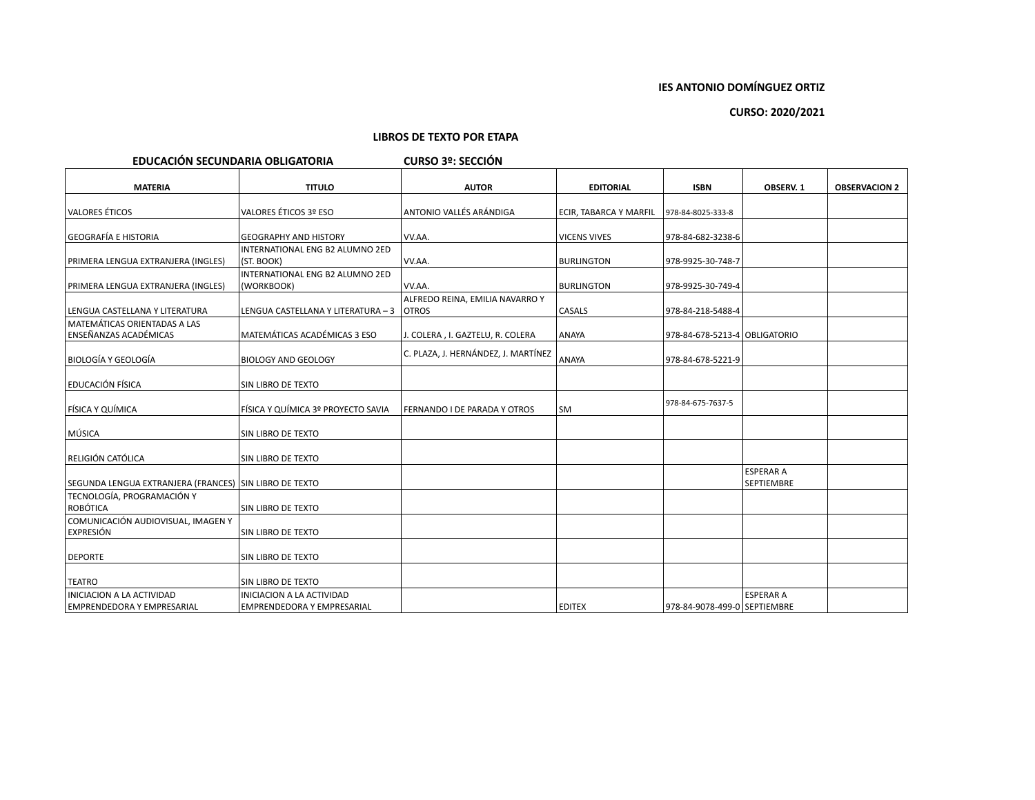## **CURSO: 2020/2021**

## **LIBROS DE TEXTO POR ETAPA**

## **EDUCACIÓN SECUNDARIA OBLIGATORIA CURSO 3º: SECCIÓN**

| <b>MATERIA</b>                                               | <b>TITULO</b>                                 | <b>AUTOR</b>                        | <b>EDITORIAL</b>       | <b>ISBN</b>                    | OBSERV. 1                             | <b>OBSERVACION 2</b> |
|--------------------------------------------------------------|-----------------------------------------------|-------------------------------------|------------------------|--------------------------------|---------------------------------------|----------------------|
|                                                              |                                               |                                     |                        |                                |                                       |                      |
| VALORES ÉTICOS                                               | VALORES ÉTICOS 3º ESO                         | ANTONIO VALLÉS ARÁNDIGA             | ECIR, TABARCA Y MARFIL | 978-84-8025-333-8              |                                       |                      |
| <b>GEOGRAFÍA E HISTORIA</b>                                  | <b>GEOGRAPHY AND HISTORY</b>                  | VV.AA.                              | <b>VICENS VIVES</b>    | 978-84-682-3238-6              |                                       |                      |
| PRIMERA LENGUA EXTRANJERA (INGLES)                           | INTERNATIONAL ENG B2 ALUMNO 2ED<br>(ST. BOOK) | VV.AA.                              | <b>BURLINGTON</b>      | 978-9925-30-748-7              |                                       |                      |
|                                                              | INTERNATIONAL ENG B2 ALUMNO 2ED               |                                     |                        |                                |                                       |                      |
| PRIMERA LENGUA EXTRANJERA (INGLES)                           | (WORKBOOK)                                    | VV.AA.                              | <b>BURLINGTON</b>      | 978-9925-30-749-4              |                                       |                      |
| LENGUA CASTELLANA Y LITERATURA                               | LENGUA CASTELLANA Y LITERATURA - 3   OTROS    | ALFREDO REINA, EMILIA NAVARRO Y     | <b>CASALS</b>          | 978-84-218-5488-4              |                                       |                      |
| MATEMÁTICAS ORIENTADAS A LAS<br><b>ENSEÑANZAS ACADÉMICAS</b> | MATEMÁTICAS ACADÉMICAS 3 ESO                  | J. COLERA , I. GAZTELU, R. COLERA   | ANAYA                  | 978-84-678-5213-4 OBLIGATORIO  |                                       |                      |
| BIOLOGÍA Y GEOLOGÍA                                          | <b>BIOLOGY AND GEOLOGY</b>                    | C. PLAZA, J. HERNÁNDEZ, J. MARTÍNEZ | ANAYA                  | 978-84-678-5221-9              |                                       |                      |
| EDUCACIÓN FÍSICA                                             | SIN LIBRO DE TEXTO                            |                                     |                        |                                |                                       |                      |
| FÍSICA Y QUÍMICA                                             | FÍSICA Y QUÍMICA 3º PROYECTO SAVIA            | <b>FERNANDO I DE PARADA Y OTROS</b> | <b>SM</b>              | 978-84-675-7637-5              |                                       |                      |
| MÚSICA                                                       | SIN LIBRO DE TEXTO                            |                                     |                        |                                |                                       |                      |
| RELIGIÓN CATÓLICA                                            | SIN LIBRO DE TEXTO                            |                                     |                        |                                |                                       |                      |
| SEGUNDA LENGUA EXTRANJERA (FRANCES) SIN LIBRO DE TEXTO       |                                               |                                     |                        |                                | <b>ESPERAR A</b><br><b>SEPTIEMBRE</b> |                      |
| TECNOLOGÍA, PROGRAMACIÓN Y<br>ROBÓTICA                       | SIN LIBRO DE TEXTO                            |                                     |                        |                                |                                       |                      |
| COMUNICACIÓN AUDIOVISUAL, IMAGEN Y<br><b>EXPRESIÓN</b>       | SIN LIBRO DE TEXTO                            |                                     |                        |                                |                                       |                      |
| <b>DEPORTE</b>                                               | SIN LIBRO DE TEXTO                            |                                     |                        |                                |                                       |                      |
| <b>TEATRO</b>                                                | SIN LIBRO DE TEXTO                            |                                     |                        |                                |                                       |                      |
| <b>INICIACION A LA ACTIVIDAD</b>                             | INICIACION A LA ACTIVIDAD                     |                                     |                        |                                | <b>ESPERAR A</b>                      |                      |
| EMPRENDEDORA Y EMPRESARIAL                                   | EMPRENDEDORA Y EMPRESARIAL                    |                                     | <b>EDITEX</b>          | 978-84-9078-499-0   SEPTIEMBRE |                                       |                      |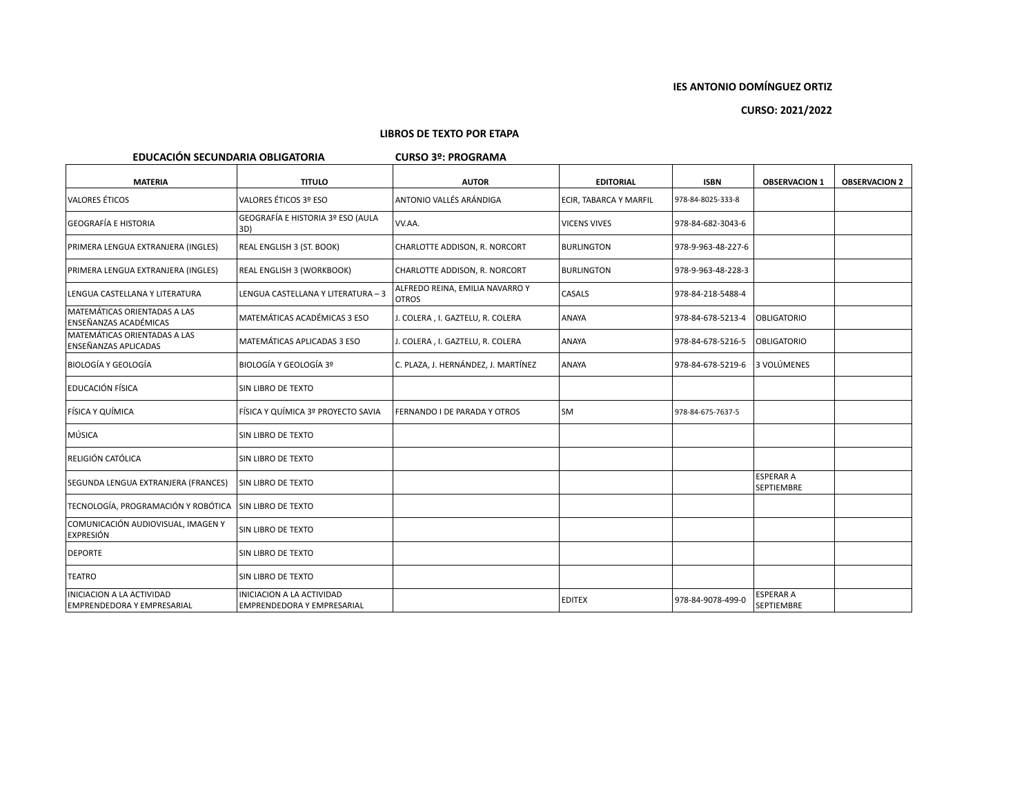# **CURSO: 2021/2022**

#### **LIBROS DE TEXTO POR ETAPA**

## **EDUCACIÓN SECUNDARIA OBLIGATORIA CURSO 3º: PROGRAMA**

| <b>MATERIA</b>                                                 | <b>TITULO</b>                                                         | <b>AUTOR</b>                                    | <b>EDITORIAL</b>       | <b>ISBN</b>        | <b>OBSERVACION 1</b>                  | <b>OBSERVACION 2</b> |
|----------------------------------------------------------------|-----------------------------------------------------------------------|-------------------------------------------------|------------------------|--------------------|---------------------------------------|----------------------|
| VALORES ÉTICOS                                                 | VALORES ÉTICOS 3º ESO                                                 | ANTONIO VALLÉS ARÁNDIGA                         | ECIR, TABARCA Y MARFIL | 978-84-8025-333-8  |                                       |                      |
| GEOGRAFÍA E HISTORIA                                           | GEOGRAFÍA E HISTORIA 3º ESO (AULA<br>3D)                              | VV.AA.                                          | <b>VICENS VIVES</b>    | 978-84-682-3043-6  |                                       |                      |
| PRIMERA LENGUA EXTRANJERA (INGLES)                             | REAL ENGLISH 3 (ST. BOOK)                                             | CHARLOTTE ADDISON, R. NORCORT                   | <b>BURLINGTON</b>      | 978-9-963-48-227-6 |                                       |                      |
| PRIMERA LENGUA EXTRANJERA (INGLES)                             | REAL ENGLISH 3 (WORKBOOK)                                             | CHARLOTTE ADDISON, R. NORCORT                   | <b>BURLINGTON</b>      | 978-9-963-48-228-3 |                                       |                      |
| LENGUA CASTELLANA Y LITERATURA                                 | LENGUA CASTELLANA Y LITERATURA - 3                                    | ALFREDO REINA, EMILIA NAVARRO Y<br><b>OTROS</b> | CASALS                 | 978-84-218-5488-4  |                                       |                      |
| MATEMÁTICAS ORIENTADAS A LAS<br>ENSEÑANZAS ACADÉMICAS          | MATEMÁTICAS ACADÉMICAS 3 ESO                                          | J. COLERA, I. GAZTELU, R. COLERA                | ANAYA                  | 978-84-678-5213-4  | <b>OBLIGATORIO</b>                    |                      |
| MATEMÁTICAS ORIENTADAS A LAS<br>ENSEÑANZAS APLICADAS           | MATEMÁTICAS APLICADAS 3 ESO                                           | J. COLERA, I. GAZTELU, R. COLERA                | ANAYA                  | 978-84-678-5216-5  | <b>OBLIGATORIO</b>                    |                      |
| BIOLOGÍA Y GEOLOGÍA                                            | BIOLOGÍA Y GEOLOGÍA 3º                                                | C. PLAZA, J. HERNÁNDEZ, J. MARTÍNEZ             | ANAYA                  | 978-84-678-5219-6  | 3 VOLÚMENES                           |                      |
| <b>EDUCACIÓN FÍSICA</b>                                        | SIN LIBRO DE TEXTO                                                    |                                                 |                        |                    |                                       |                      |
| <b>FÍSICA Y QUÍMICA</b>                                        | FÍSICA Y QUÍMICA 3º PROYECTO SAVIA                                    | FERNANDO I DE PARADA Y OTROS                    | <b>SM</b>              | 978-84-675-7637-5  |                                       |                      |
| MÚSICA                                                         | SIN LIBRO DE TEXTO                                                    |                                                 |                        |                    |                                       |                      |
| RELIGIÓN CATÓLICA                                              | SIN LIBRO DE TEXTO                                                    |                                                 |                        |                    |                                       |                      |
| SEGUNDA LENGUA EXTRANJERA (FRANCES)                            | SIN LIBRO DE TEXTO                                                    |                                                 |                        |                    | <b>ESPERAR A</b><br><b>SEPTIEMBRE</b> |                      |
| TECNOLOGÍA, PROGRAMACIÓN Y ROBÓTICA                            | <b>SIN LIBRO DE TEXTO</b>                                             |                                                 |                        |                    |                                       |                      |
| COMUNICACIÓN AUDIOVISUAL, IMAGEN Y<br><b>EXPRESIÓN</b>         | SIN LIBRO DE TEXTO                                                    |                                                 |                        |                    |                                       |                      |
| <b>DEPORTE</b>                                                 | <b>SIN LIBRO DE TEXTO</b>                                             |                                                 |                        |                    |                                       |                      |
| <b>TEATRO</b>                                                  | SIN LIBRO DE TEXTO                                                    |                                                 |                        |                    |                                       |                      |
| INICIACION A LA ACTIVIDAD<br><b>EMPRENDEDORA Y EMPRESARIAL</b> | <b>INICIACION A LA ACTIVIDAD</b><br><b>EMPRENDEDORA Y EMPRESARIAL</b> |                                                 | <b>EDITEX</b>          | 978-84-9078-499-0  | <b>ESPERAR A</b><br><b>SEPTIEMBRE</b> |                      |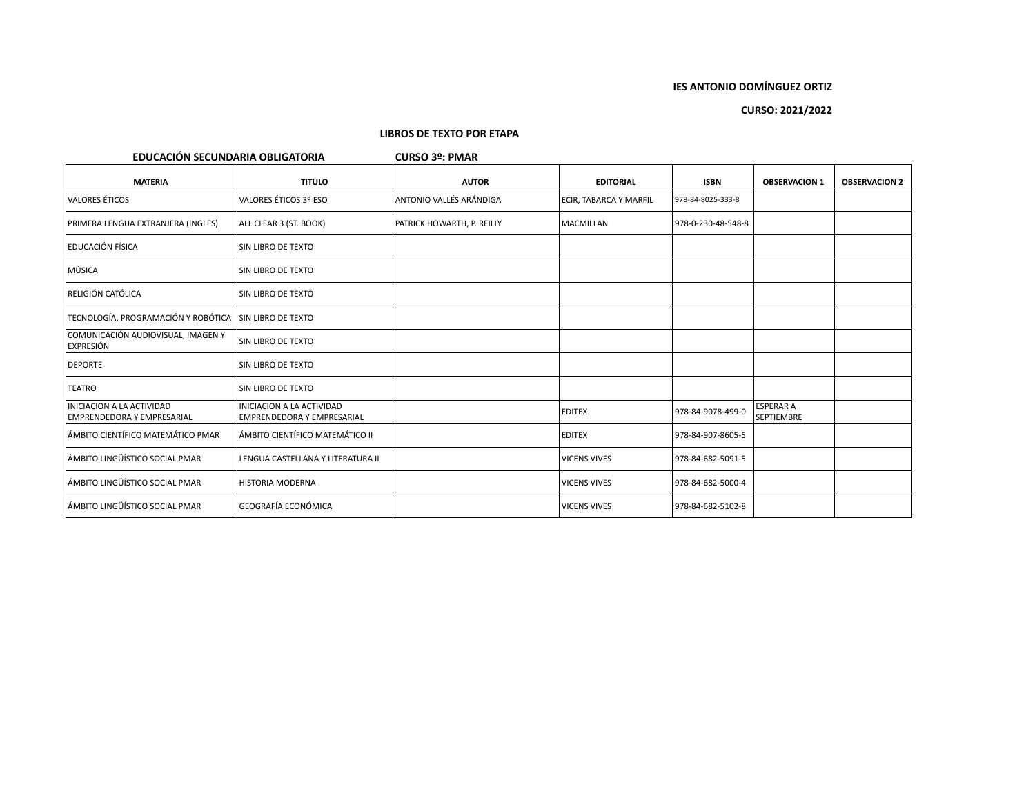# **CURSO: 2021/2022**

| EDUCACIÓN SECUNDARIA OBLIGATORIA                        |                                                                       | <b>CURSO 3º: PMAR</b>      |                               |                    |                                       |                      |
|---------------------------------------------------------|-----------------------------------------------------------------------|----------------------------|-------------------------------|--------------------|---------------------------------------|----------------------|
| <b>MATERIA</b>                                          | <b>TITULO</b>                                                         | <b>AUTOR</b>               | <b>EDITORIAL</b>              | <b>ISBN</b>        | <b>OBSERVACION 1</b>                  | <b>OBSERVACION 2</b> |
| <b>VALORES ÉTICOS</b>                                   | VALORES ÉTICOS 3º ESO                                                 | ANTONIO VALLÉS ARÁNDIGA    | <b>ECIR, TABARCA Y MARFIL</b> | 978-84-8025-333-8  |                                       |                      |
| PRIMERA LENGUA EXTRANJERA (INGLES)                      | ALL CLEAR 3 (ST. BOOK)                                                | PATRICK HOWARTH, P. REILLY | MACMILLAN                     | 978-0-230-48-548-8 |                                       |                      |
| <b>EDUCACIÓN FÍSICA</b>                                 | SIN LIBRO DE TEXTO                                                    |                            |                               |                    |                                       |                      |
| MÚSICA                                                  | SIN LIBRO DE TEXTO                                                    |                            |                               |                    |                                       |                      |
| RELIGIÓN CATÓLICA                                       | SIN LIBRO DE TEXTO                                                    |                            |                               |                    |                                       |                      |
| TECNOLOGÍA, PROGRAMACIÓN Y ROBÓTICA                     | SIN LIBRO DE TEXTO                                                    |                            |                               |                    |                                       |                      |
| COMUNICACIÓN AUDIOVISUAL, IMAGEN Y<br>EXPRESIÓN         | SIN LIBRO DE TEXTO                                                    |                            |                               |                    |                                       |                      |
| <b>DEPORTE</b>                                          | SIN LIBRO DE TEXTO                                                    |                            |                               |                    |                                       |                      |
| <b>TEATRO</b>                                           | SIN LIBRO DE TEXTO                                                    |                            |                               |                    |                                       |                      |
| INICIACION A LA ACTIVIDAD<br>EMPRENDEDORA Y EMPRESARIAL | <b>INICIACION A LA ACTIVIDAD</b><br><b>EMPRENDEDORA Y EMPRESARIAL</b> |                            | <b>EDITEX</b>                 | 978-84-9078-499-0  | <b>ESPERAR A</b><br><b>SEPTIEMBRE</b> |                      |
| ÁMBITO CIENTÍFICO MATEMÁTICO PMAR                       | ÁMBITO CIENTÍFICO MATEMÁTICO II                                       |                            | <b>EDITEX</b>                 | 978-84-907-8605-5  |                                       |                      |
| ÁMBITO LINGÜÍSTICO SOCIAL PMAR                          | LENGUA CASTELLANA Y LITERATURA II                                     |                            | <b>VICENS VIVES</b>           | 978-84-682-5091-5  |                                       |                      |
| ÁMBITO LINGÜÍSTICO SOCIAL PMAR                          | <b>HISTORIA MODERNA</b>                                               |                            | <b>VICENS VIVES</b>           | 978-84-682-5000-4  |                                       |                      |
| ÁMBITO LINGÜÍSTICO SOCIAL PMAR                          | <b>GEOGRAFÍA ECONÓMICA</b>                                            |                            | <b>VICENS VIVES</b>           | 978-84-682-5102-8  |                                       |                      |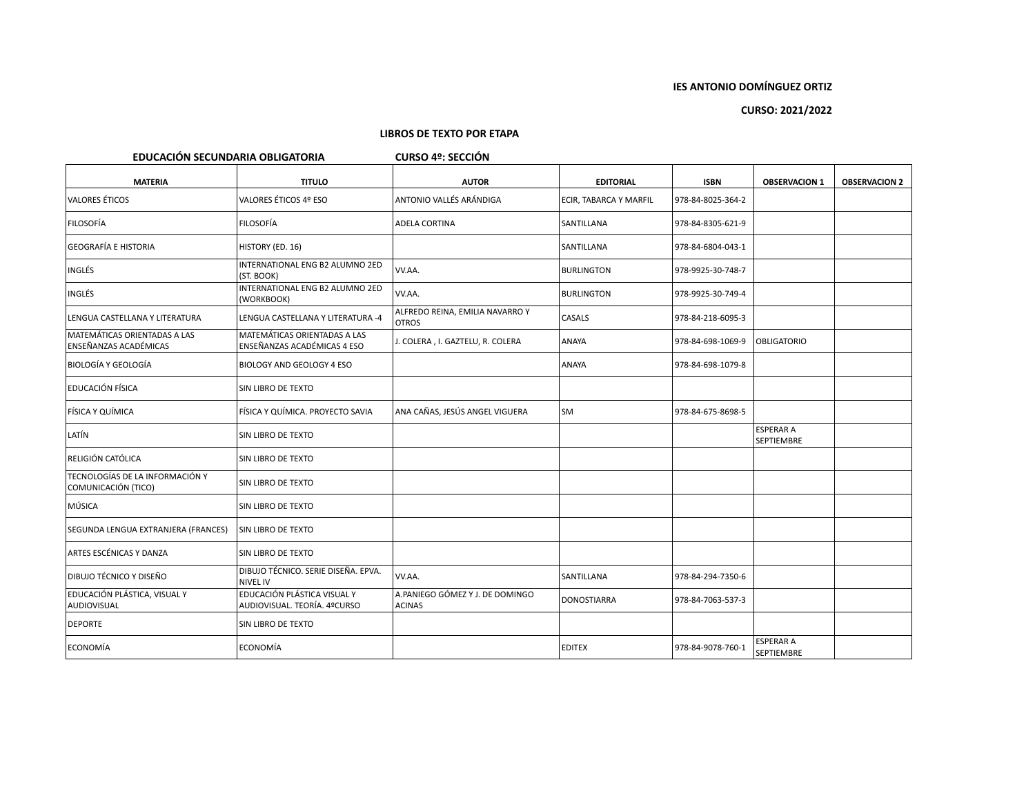# **CURSO: 2021/2022**

| EDUCACIÓN SECUNDARIA OBLIGATORIA<br><b>CURSO 4º: SECCIÓN</b> |                                                             |                                                  |                        |                   |                                       |                      |  |  |
|--------------------------------------------------------------|-------------------------------------------------------------|--------------------------------------------------|------------------------|-------------------|---------------------------------------|----------------------|--|--|
| <b>MATERIA</b>                                               | <b>TITULO</b>                                               | <b>AUTOR</b>                                     | <b>EDITORIAL</b>       | <b>ISBN</b>       | <b>OBSERVACION 1</b>                  | <b>OBSERVACION 2</b> |  |  |
| <b>VALORES ÉTICOS</b>                                        | VALORES ÉTICOS 4º ESO                                       | ANTONIO VALLÉS ARÁNDIGA                          | ECIR, TABARCA Y MARFIL | 978-84-8025-364-2 |                                       |                      |  |  |
| <b>FILOSOFÍA</b>                                             | <b>FILOSOFÍA</b>                                            | ADELA CORTINA                                    | SANTILLANA             | 978-84-8305-621-9 |                                       |                      |  |  |
| GEOGRAFÍA E HISTORIA                                         | HISTORY (ED. 16)                                            |                                                  | SANTILLANA             | 978-84-6804-043-1 |                                       |                      |  |  |
| <b>INGLÉS</b>                                                | INTERNATIONAL ENG B2 ALUMNO 2ED<br>(ST. BOOK)               | VV.AA.                                           | <b>BURLINGTON</b>      | 978-9925-30-748-7 |                                       |                      |  |  |
| <b>INGLÉS</b>                                                | INTERNATIONAL ENG B2 ALUMNO 2ED<br>(WORKBOOK)               | VV.AA.                                           | <b>BURLINGTON</b>      | 978-9925-30-749-4 |                                       |                      |  |  |
| LENGUA CASTELLANA Y LITERATURA                               | LENGUA CASTELLANA Y LITERATURA -4                           | ALFREDO REINA, EMILIA NAVARRO Y<br><b>OTROS</b>  | CASALS                 | 978-84-218-6095-3 |                                       |                      |  |  |
| MATEMÁTICAS ORIENTADAS A LAS<br><b>ENSEÑANZAS ACADÉMICAS</b> | MATEMÁTICAS ORIENTADAS A LAS<br>ENSEÑANZAS ACADÉMICAS 4 ESO | J. COLERA, I. GAZTELU, R. COLERA                 | ANAYA                  | 978-84-698-1069-9 | <b>OBLIGATORIO</b>                    |                      |  |  |
| <b>BIOLOGÍA Y GEOLOGÍA</b>                                   | BIOLOGY AND GEOLOGY 4 ESO                                   |                                                  | ANAYA                  | 978-84-698-1079-8 |                                       |                      |  |  |
| EDUCACIÓN FÍSICA                                             | SIN LIBRO DE TEXTO                                          |                                                  |                        |                   |                                       |                      |  |  |
| FÍSICA Y QUÍMICA                                             | FÍSICA Y QUÍMICA. PROYECTO SAVIA                            | ANA CAÑAS, JESÚS ANGEL VIGUERA                   | SM                     | 978-84-675-8698-5 |                                       |                      |  |  |
| LATÍN                                                        | SIN LIBRO DE TEXTO                                          |                                                  |                        |                   | <b>ESPERAR A</b><br>SEPTIEMBRE        |                      |  |  |
| RELIGIÓN CATÓLICA                                            | SIN LIBRO DE TEXTO                                          |                                                  |                        |                   |                                       |                      |  |  |
| TECNOLOGÍAS DE LA INFORMACIÓN Y<br>COMUNICACIÓN (TICO)       | SIN LIBRO DE TEXTO                                          |                                                  |                        |                   |                                       |                      |  |  |
| MÚSICA                                                       | SIN LIBRO DE TEXTO                                          |                                                  |                        |                   |                                       |                      |  |  |
| SEGUNDA LENGUA EXTRANJERA (FRANCES)                          | SIN LIBRO DE TEXTO                                          |                                                  |                        |                   |                                       |                      |  |  |
| ARTES ESCÉNICAS Y DANZA                                      | SIN LIBRO DE TEXTO                                          |                                                  |                        |                   |                                       |                      |  |  |
| <b>DIBUJO TÉCNICO Y DISEÑO</b>                               | DIBUJO TÉCNICO. SERIE DISEÑA. EPVA.<br><b>NIVEL IV</b>      | VV.AA.                                           | SANTILLANA             | 978-84-294-7350-6 |                                       |                      |  |  |
| EDUCACIÓN PLÁSTICA, VISUAL Y<br>AUDIOVISUAL                  | EDUCACIÓN PLÁSTICA VISUAL Y<br>AUDIOVISUAL. TEORÍA. 4ºCURSO | A.PANIEGO GÓMEZ Y J. DE DOMINGO<br><b>ACINAS</b> | <b>DONOSTIARRA</b>     | 978-84-7063-537-3 |                                       |                      |  |  |
| <b>DEPORTE</b>                                               | SIN LIBRO DE TEXTO                                          |                                                  |                        |                   |                                       |                      |  |  |
| ECONOMÍA                                                     | ECONOMÍA                                                    |                                                  | <b>EDITEX</b>          | 978-84-9078-760-1 | <b>ESPERAR A</b><br><b>SEPTIEMBRE</b> |                      |  |  |